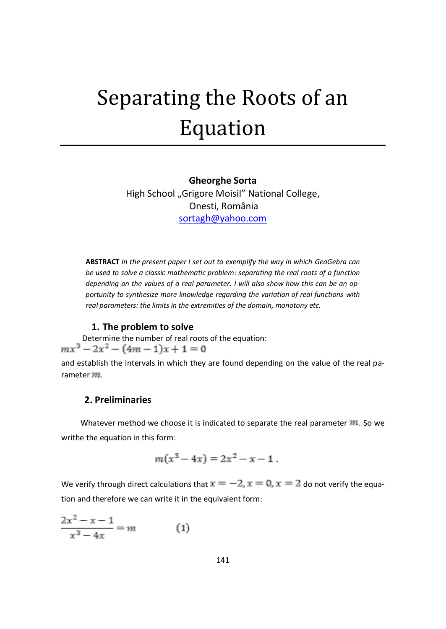# Separating the Roots of an Equation

## **Gheorghe Sorta** High School "Grigore Moisil" National College, Onesti, România [sortagh@yahoo.com](mailto:sortagh@yahoo.com)

**ABSTRACT** *In the present paper I set out to exemplify the way in which GeoGebra can be used to solve a classic mathematic problem: separating the real roots of a function depending on the values of a real parameter. I will also show how this can be an opportunity to synthesize more knowledge regarding the variation of real functions with real parameters: the limits in the extremities of the domain, monotony etc.*

#### **1. The problem to solve**

Determine the number of real roots of the equation:<br> $mx^3 - 2x^2 - (4m - 1)x + 1 = 0$ and establish the intervals in which they are found depending on the value of the real parameter  $m$ .

### **2. Preliminaries**

Whatever method we choose it is indicated to separate the real parameter  $m$ . So we writhe the equation in this form:

$$
m(x^3-4x)=2x^2-x-1.
$$

We verify through direct calculations that  $x = -2$ ,  $x = 0$ ,  $x = 2$  do not verify the equation and therefore we can write it in the equivalent form:

$$
\frac{2x^2 - x - 1}{x^3 - 4x} = m \tag{1}
$$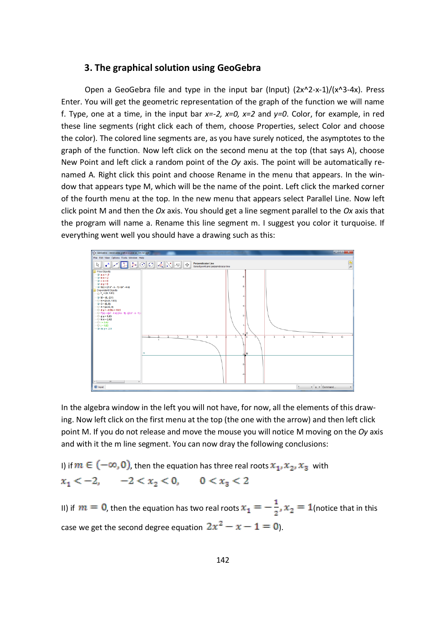#### **3. The graphical solution using GeoGebra**

Open a GeoGebra file and type in the input bar (Input)  $(2x^2-x^{-1})/(x^3-4x)$ . Press Enter. You will get the geometric representation of the graph of the function we will name f. Type, one at a time, in the input bar *x=-2, x=0, x=2* and *y=0*. Color, for example, in red these line segments (right click each of them, choose Properties, select Color and choose the color). The colored line segments are, as you have surely noticed, the asymptotes to the graph of the function. Now left click on the second menu at the top (that says A), choose New Point and left click a random point of the *Oy* axis. The point will be automatically renamed A. Right click this point and choose Rename in the menu that appears. In the window that appears type M, which will be the name of the point. Left click the marked corner of the fourth menu at the top. In the new menu that appears select Parallel Line. Now left click point M and then the *Ox* axis. You should get a line segment parallel to the *Ox* axis that the program will name a. Rename this line segment m. I suggest you color it turquoise. If everything went well you should have a drawing such as this:



In the algebra window in the left you will not have, for now, all the elements of this drawing. Now left click on the first menu at the top (the one with the arrow) and then left click point M. If you do not release and move the mouse you will notice M moving on the *Oy* axis and with it the m line segment. You can now dray the following conclusions:

I) if  $m \in (-\infty, 0)$ , then the equation has three real roots  $x_1, x_2, x_3$  with  $x_1 < -2$ ,  $-2 < x_2 < 0$ ,  $0 < x_3 < 2$ 

II) if  $m = 0$ , then the equation has two real roots  $x_1 = -\frac{1}{2}$ ,  $x_2 = 1$  (notice that in this case we get the second degree equation  $2x^2 - x - 1 = 0$ .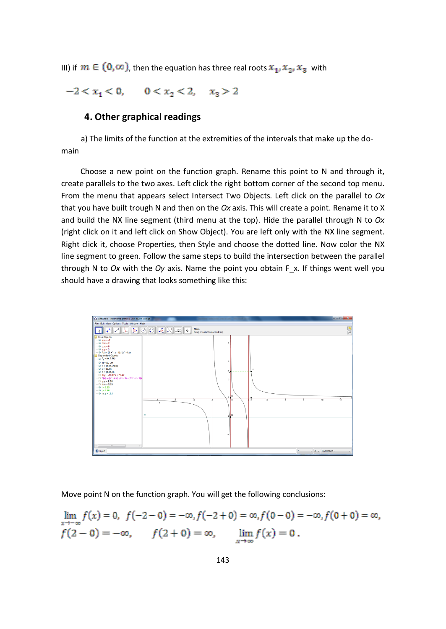III) if  $m \in (0, \infty)$ , then the equation has three real roots  $x_1, x_2, x_3$  with

 $-2 < x_1 < 0$ ,  $0 < x_2 < 2$ ,  $x_3 > 2$ 

#### **4. Other graphical readings**

a) The limits of the function at the extremities of the intervals that make up the domain

 Choose a new point on the function graph. Rename this point to N and through it, create parallels to the two axes. Left click the right bottom corner of the second top menu. From the menu that appears select Intersect Two Objects. Left click on the parallel to *Ox* that you have built trough N and then on the *Ox* axis. This will create a point. Rename it to X and build the NX line segment (third menu at the top). Hide the parallel through N to *Ox* (right click on it and left click on Show Object). You are left only with the NX line segment. Right click it, choose Properties, then Style and choose the dotted line. Now color the NX line segment to green. Follow the same steps to build the intersection between the parallel through N to *Ox* with the *Oy* axis. Name the point you obtain F\_x. If things went well you should have a drawing that looks something like this:



Move point N on the function graph. You will get the following conclusions:

$$
\lim_{x \to -\infty} f(x) = 0, \ f(-2 - 0) = -\infty, f(-2 + 0) = \infty, f(0 - 0) = -\infty, f(0 + 0) = \infty,
$$
  

$$
f(2 - 0) = -\infty, \qquad f(2 + 0) = \infty, \qquad \lim_{x \to \infty} f(x) = 0.
$$